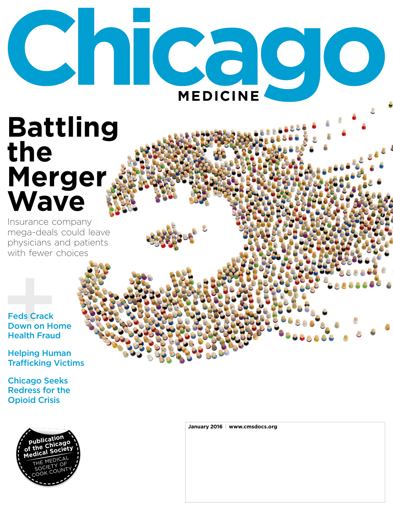# Chicago **MEDICINE**

## **Battling** the Merger Wave

Insurance company mega-deals could leave physicians and patients with fewer choices

**Feds Crack Down on Home Health Fraud** 

**Helping Human Trafficking Victims** 

**Chicago Seeks Redress for the Opioid Crisis** 



January 2016 | www.cmsdocs.org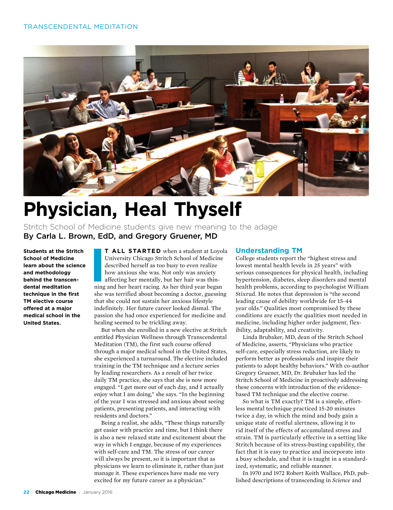

### **Physician, Heal Thyself**

Stritch School of Medicine students give new meaning to the adage By Carla L. Brown, EdD, and Gregory Gruener, MD

**Students at the Stritch School of Medicine learn about the science and methodology behind the transcendental meditation technique in the first TM elective course offered at a major medical school in the United States.**

**I T ALL STARTED** when a student at Loyola University Chicago Stritch School of Medicine described herself as too busy to even realize how anxious she was. Not only was anxiety affecting her mentally, but her hair was thinning and her heart racing. As her third year began she was terrified about becoming a doctor, guessing that she could not sustain her anxious lifestyle indefinitely. Her future career looked dismal. The passion she had once experienced for medicine and healing seemed to be trickling away.

But when she enrolled in a new elective at Stritch entitled Physician Wellness through Transcendental Meditation (TM), the first such course offered through a major medical school in the United States, she experienced a turnaround. The elective included training in the TM technique and a lecture series by leading researchers. As a result of her twice daily TM practice, she says that she is now more engaged. "I get more out of each day, and I actually enjoy what I am doing," she says. "In the beginning of the year I was stressed and anxious about seeing patients, presenting patients, and interacting with residents and doctors."

Being a realist, she adds, "These things naturally get easier with practice and time, but I think there is also a new relaxed state and excitement about the way in which I engage, because of my experiences with self-care and TM. The stress of our career will always be present, so it is important that as physicians we learn to eliminate it, rather than just manage it. These experiences have made me very excited for my future career as a physician."

#### **Understanding TM**

College students report the "highest stress and lowest mental health levels in 25 years" with serious consequences for physical health, including hypertension, diabetes, sleep disorders and mental health problems, according to psychologist William Stixrud. He notes that depression is "the second leading cause of debility worldwide for 15-44 year olds." Qualities most compromised by these conditions are exactly the qualities most needed in medicine, including higher order judgment, flexibility, adaptability, and creativity.

Linda Brubaker, MD, dean of the Stritch School of Medicine, asserts, "Physicians who practice self-care, especially stress reduction, are likely to perform better as professionals and inspire their patients to adopt healthy behaviors." With co-author Gregory Gruener, MD, Dr. Brubaker has led the Stritch School of Medicine in proactively addressing these concerns with introduction of the evidencebased TM technique and the elective course.

So what is TM exactly? TM is a simple, effortless mental technique practiced 15-20 minutes twice a day, in which the mind and body gain a unique state of restful alertness, allowing it to rid itself of the effects of accumulated stress and strain. TM is particularly effective in a setting like Stritch because of its stress-busting capability, the fact that it is easy to practice and incorporate into a busy schedule, and that it is taught in a standardized, systematic, and reliable manner.

In 1970 and 1972 Robert Keith Wallace, PhD, published descriptions of transcending in *Science* and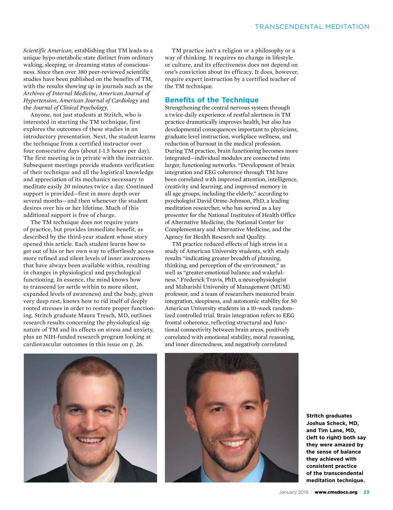*Scientific American,* establishing that TM leads to a unique hypo-metabolic state distinct from ordinary waking, sleeping, or dreaming states of consciousness. Since then over 380 peer-reviewed scientific studies have been published on the benefits of TM, with the results showing up in journals such as the *Archives of Internal Medicine, American Journal of Hypertension, American Journal of Cardiology* and the *Journal of Clinical Psychology.* 

Anyone, not just students at Stritch, who is interested in starting the TM technique, first explores the outcomes of these studies in an introductory presentation. Next, the student learns the technique from a certified instructor over four consecutive days (about 1-1.5 hours per day). The first meeting is in private with the instructor. Subsequent meetings provide students verification of their technique and all the logistical knowledge and appreciation of its mechanics necessary to meditate easily 20 minutes twice a day. Continued support is provided—first in more depth over several months—and then whenever the student desires over his or her lifetime. Much of this additional support is free of charge.

The TM technique does not require years of practice, but provides immediate benefit, as described by the third-year student whose story opened this article. Each student learns how to get out of his or her own way to effortlessly access more refined and silent levels of inner awareness that have always been available within, resulting in changes in physiological and psychological functioning. In essence, the mind knows how to transcend (or settle within to more silent, expanded levels of awareness) and the body, given very deep rest, knows how to rid itself of deeply rooted stresses in order to restore proper functioning. Stritch graduate Maura Tresch, MD, outlines research results concerning the physiological signature of TM and its effects on stress and anxiety, plus an NIH-funded research program looking at cardiovascular outcomes in this issue on p. 26.

TM practice isn't a religion or a philosophy or a way of thinking. It requires no change in lifestyle or culture, and its effectiveness does not depend on one's conviction about its efficacy. It does, however, require expert instruction by a certified teacher of the TM technique.

#### **Benefits of the Technique**

Strengthening the central nervous system through a twice-daily experience of restful alertness in TM practice dramatically improves health, but also has developmental consequences important to physicians, graduate level instruction, workplace wellness, and reduction of burnout in the medical profession. During TM practice, brain functioning becomes more integrated—individual modules are connected into larger, functioning networks. "Development of brain integration and EEG coherence through TM have been correlated with improved attention, intelligence, creativity and learning, and improved memory in all age groups, including the elderly," according to psychologist David Orme-Johnson, PhD, a leading meditation researcher, who has served as a key presenter for the National Institutes of Health Office of Alternative Medicine, the National Center for Complementary and Alternative Medicine, and the Agency for Health Research and Quality.

TM practice reduced effects of high stress in a study of American University students, with study results "indicating greater breadth of planning, thinking, and perception of the environment," as well as "greater emotional balance and wakefulness." Frederick Travis, PhD, a neurophysiologist and Maharishi University of Management (MUM) professor, and a team of researchers measured brain integration, sleepiness, and autonomic stability for 50 American University students in a 10-week randomized controlled trial. Brain integration refers to EEG frontal coherence, reflecting structural and functional connectivity between brain areas, positively correlated with emotional stability, moral reasoning, and inner directedness, and negatively correlated





**Stritch graduates Joshua Scheck, MD, and Tim Lane, MD, (left to right) both say they were amazed by the sense of balance they achieved with consistent practice of the transcendental meditation technique.**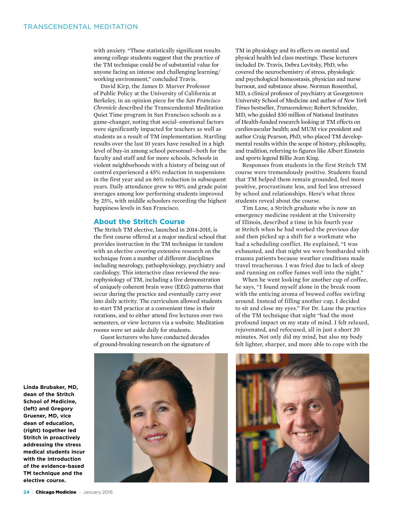with anxiety. "These statistically significant results among college students suggest that the practice of the TM technique could be of substantial value for anyone facing an intense and challenging learning/ working environment," concluded Travis.

David Kirp, the James D. Marver Professor of Public Policy at the University of California at Berkeley, in an opinion piece for the *San Francisco Chronicle* described the Transcendental Meditation Quiet Time program in San Francisco schools as a game-changer, noting that social–emotional factors were significantly impacted for teachers as well as students as a result of TM implementation. Startling results over the last 10 years have resulted in a high level of buy-in among school personnel—both for the faculty and staff and for more schools. Schools in violent neighborhoods with a history of being out of control experienced a 45% reduction in suspensions in the first year and an 86% reduction in subsequent years. Daily attendance grew to 98% and grade point averages among low performing students improved by 25%, with middle schoolers recording the highest happiness levels in San Francisco.

#### **About the Stritch Course**

The Stritch TM elective, launched in 2014-2015, is the first course offered at a major medical school that provides instruction in the TM technique in tandem with an elective covering extensive research on the technique from a number of different disciplines including neurology, pathophysiology, psychiatry and cardiology. This interactive class reviewed the neurophysiology of TM, including a live demonstration of uniquely coherent brain wave (EEG) patterns that occur during the practice and eventually carry over into daily activity. The curriculum allowed students to start TM practice at a convenient time in their rotations, and to either attend five lectures over two semesters, or view lectures via a website. Meditation rooms were set aside daily for students.

Guest lecturers who have conducted decades of ground-breaking research on the signature of



TM in physiology and its effects on mental and physical health led class meetings. These lecturers included Dr. Travis, Debra Levitsky, PhD, who covered the neurochemistry of stress, physiologic and psychological homeostasis, physician and nurse burnout, and substance abuse. Norman Rosenthal, MD, a clinical professor of psychiatry at Georgetown University School of Medicine and author of *New York Times* bestseller, *Transcendence;* Robert Schneider, MD, who guided \$30 million of National Institutes of Health-funded research looking at TM effects on cardiovascular health; and MUM vice president and author Craig Pearson, PhD, who placed TM developmental results within the scope of history, philosophy, and tradition, referring to figures like Albert Einstein and sports legend Billie Jean King.

Responses from students in the first Stritch TM course were tremendously positive. Students found that TM helped them remain grounded, feel more positive, procrastinate less, and feel less stressed by school and relationships. Here's what three students reveal about the course.

Tim Lane, a Stritch graduate who is now an emergency medicine resident at the University of Illinois, described a time in his fourth year at Stritch when he had worked the previous day and then picked up a shift for a workmate who had a scheduling conflict. He explained, "I was exhausted, and that night we were bombarded with trauma patients because weather conditions made travel treacherous. I was fried due to lack of sleep and running on coffee fumes well into the night."

When he went looking for another cup of coffee, he says, "I found myself alone in the break room with the enticing aroma of brewed coffee swirling around. Instead of filling another cup, I decided to sit and close my eyes." For Dr. Lane the practice of the TM technique that night "had the most profound impact on my state of mind. I felt relaxed, rejuvenated, and refocused, all in just a short 20 minutes. Not only did my mind, but also my body felt lighter, sharper, and more able to cope with the



**Linda Brubaker, MD, dean of the Stritch School of Medicine, (left) and Gregory Gruener, MD, vice dean of education, (right) together led Stritch in proactively addressing the stress medical students incur with the introduction of the evidence-based TM technique and the elective course.**